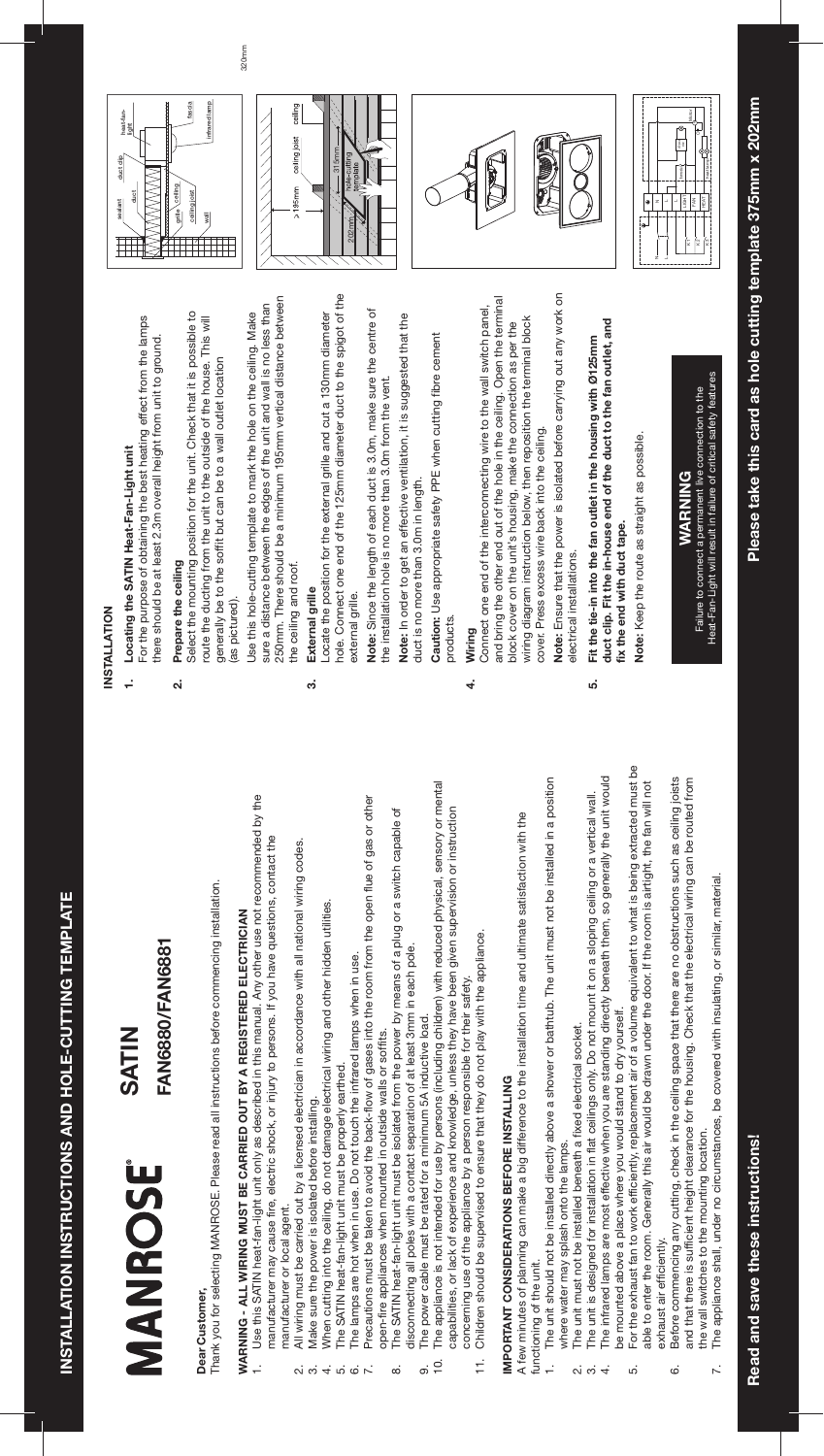### Dear Customer, **Dear Customer,**

**Please take this card as hole cutting template 375mm x 202mm**

# INSTALLATION INSTRUCTIO

# MANROSE

Thank you for selecting MANROSE. Please read all instructions before commencing installation. Thank you for selecting MANROSE. Please read all instructions before commencing installation.

# WARNING - ALL WIRING MUST BE CARRIED OUT BY A REGISTERED ELECTRICIAN **WARNING - ALL WIRING MUST BE CARRIED OUT BY A REGISTERED ELECTRICIAN**

Use this SATIN heat-fan-light unit only as described in this manual. Any other use not recommended by the 1. Use this SATIN heat-fan-light unit only as described in this manual. Any other use not recommended by the manufacturer may cause fire, electric shock, or injury to persons. If you have questions, contact the manufacturer may cause fire, electric shock, or injury to persons. If you have questions, contact the

- All wiring must be carried out by a licensed electrician in accordance with all national wiring codes. 2. All wiring must be carried out by a licensed electrician in accordance with all national wiring codes. പ് ത്
	- 4. When cutting into the ceiling, do not damage electrical wiring and other hidden utilities. When cutting into the ceiling, do not damage electrical wiring and other hidden utilities. Make sure the power is isolated before installing. 3. Make sure the power is isolated before installing.  $4.0.6$ 
		- The SATIN heat-fan-light unit must be properly earthed. 5. The SATIN heat-fan-light unit must be properly earthed.
			- The lamps are hot when in use. Do not touch the infrared lamps when in use.
- 7. Precautions must be taken to avoid the back-flow of gases into the room from the open flue of gas or other Precautions must be taken to avoid the back-flow of gases into the room from the open flue of gas or other 6. The lamps are hot when in use. Do not touch the infrared lamps when in use. in outside walls or soffits. open-fire appliances when mounted in outside walls or soffits. open-fire appliances when mounted  $\overline{\phantom{0}}$ 
	- The SATIN heat-fan-light unit must be isolated from the power by means of a plug or a switch capable of 8. The SATIN heat-fan-light unit must be isolated from the power by means of a plug or a switch capable of disconnecting all poles with a contact separation of at least 3mm in each pole. œ
		- disconnecting all poles with a contact separation of at least 3mm in each pole. The power cable must be rated for a minimum 5A inductive load. 9. The power cable must be rated for a minimum 5A inductive load.  $\circ \frac{1}{2}$
		-
- 10. The appliance is not intended for use by persons (including children) with reduced physical, sensory or mental by persons (including children) with reduced physical, sensory or mental capabilities, or lack of experience and knowledge, unless they have been given supervision or instruction capabilities, or lack of experience and knowledge, unless they have been given supervision or instruction The appliance is not intended for use
- person responsible for their safety. concerning use of the appliance by a person responsible for their safety. concerning use of the appliance by a
	- Children should be supervised to ensure that they do not play with the appliance. 11. Children should be supervised to ensure that they do not play with the appliance.  $\frac{1}{11}$

manufacturer or local agent. manufacturer or local agent.

## IMPORTANT CONSIDERATIONS BEFORE INSTALLING **IMPORTANT CONSIDERATIONS BEFORE INSTALLING**

- 1. The unit should not be installed directly above a shower or bathtub. The unit must not be installed in a position The unit should not be installed directly above a shower or bathtub. The unit must not be installed in a position iDS. where water may splash onto the lamps. where water may splash onto the lam
	- The unit must not be installed beneath a fixed electrical socket. 2. The unit must not be installed beneath a fixed electrical socket. പ് ത്
- 4. The infrared lamps are most effective when you are standing directly beneath them, so generally the unit would when you are standing directly beneath them, so generally the unit would 3. The unit is designed for installation in flat ceilings only. Do not mount it on a sloping ceiling or a vertical wall. The unit is designed for installation in flat ceilings only. Do not mount it on a sloping ceiling or a vertical wall. be mounted above a place where you would stand to dry yourself. The infrared lamps are most effective  $\overline{4}$
- 5. For the exhaust fan to work efficiently, replacement air of a volume equivalent to what is being extracted must be be mounted above a place where you would stand to dry yourself.<br>For the exhaust fan to work efficiently, replacement air of a volume equivalent to what is being extracted must be air would be drawn under the door. If the room is airtight, the fan will not able to enter the room. Generally this air would be drawn under the door. If the room is airtight, the fan will not able to enter the room. Generally this ςù
	- Before commencing any cutting, check in the ceiling space that there are no obstructions such as ceiling joists 6. Before commencing any cutting, check in the ceiling space that there are no obstructions such as ceiling joists and that there is sufficient height clearance for the housing. Check that the electrical wiring can be routed from and that there is sufficient height clearance for the housing. Check that the electrical wiring can be routed from the wall switches to the mounting location. exhaust air efficiently exhaust air efficiently. Ġ
		- The appliance shall, under no circumstances, be covered with insulating, or similar, material. 7. The appliance shall, under no circumstances, be covered with insulating, or similar, material. the wall switches to the mounting location.  $\overline{r}$ .

### **INSTALLATION INSTALLATION**

 For the purpose of obtaining the best heating effect from the lamps For the purpose of obtaining the best heating effect from the lamps there should be at least 2.3m overall height from unit to ground. there should be at least 2.3m overall height from unit to ground. Locating the SATIN Heat-Fan-Light unit **1. Locating the SATIN Heat-Fan-Light unit**  $\ddot{ }$ 

### Prepare the ceiling **2. Prepare the ceiling** ୶

Select the mounting position for the unit. Check that it is possible to Select the mounting position for the unit. Check that it is possible to route the ducting from the unit to the outside of the house. This will route the ducting from the unit to the outside of the house. This will generally be to the soffit but can be to a wall outlet location generally be to the soffit but can be to a wall outlet location (as pictured). (as pictured).

> A few minutes of planning can make a big difference to the installation time and ultimate satisfaction with the difference to the installation time and ultimate satisfaction with the A few minutes of planning can make a big functioning of the unit. functioning of the unit.

hole. Connect one end of the 125mm diameter duct to the spigot of the hole. Connect one end of the 125mm diameter duct to the spigot of the Locate the position for the external grille and cut a 130mm diameter Locate the position for the external grille and cut a 130mm diameter external grille. external grille.

 **Note:** Ensure that the power is isolated before carrying out any work on Note: Ensure that the power is isolated before carrying out any work on electrical installations. electrical installations.

 **duct clip. Fit the in-house end of the duct to the fan outlet, and**  duct clip. Fit the in-house end of the duct to the fan outlet, and **5. Fit the tie-in into the fan outlet in the housing with Ø125mm**  Fit the tie-in into the fan outlet in the housing with Ø125mm fix the end with duct tape.  **fix the end with duct tape.** ທ່

 **Note:** Keep the route as straight as possible. Note: Keep the route as straight as possible.

### FAN6880/FAN6881 **FAN6880/FAN6881**

### WARNING **WARNING**

Failure to connect a permanent live connection to the<br>Heat-Fan-Light will result in failure of critical safety features Heat-Fan-Light will result in failure of critical safety features Failure to connect a permanent live connection to the

 250mm. There should be a minimum 195mm vertical distance between 250mm. There should be a minimum 195mm vertical distance between sure a distance between the edges of the unit and wall is no less than sure a distance between the edges of the unit and wall is no less than Use this hole-cutting template to mark the hole on the ceiling. Make Use this hole-cutting template to mark the hole on the ceiling. Make the ceiling and roof. the ceiling and roof.

#### External grille **3. External grille** ကံ

 **Note:** Since the length of each duct is 3.0m, make sure the centre of Note: Since the length of each duct is 3.0m, make sure the centre of the installation hole is no more than 3.0m from the vent. the installation hole is no more than 3.0m from the vent.

Note: In order to get an effective ventilation, it is suggested that the  **Note:** In order to get an effective ventilation, it is suggested that the duct is no more than 3.0m in length. duct is no more than 3.0m in length

 **Caution:** Use appropriate safety PPE when cutting fibre cement Caution: Use appropriate safety PPE when cutting fibre cement products. products.

#### Wiring **4. Wiring** 4

 and bring the other end out of the hole in the ceiling. Open the terminal and bring the other end out of the hole in the ceiling. Open the terminal Connect one end of the interconnecting wire to the wall switch panel, Connect one end of the interconnecting wire to the wall switch panel, wiring diagram instruction below, then reposition the terminal block wiring diagram instruction below, then reposition the terminal block block cover on the unit's housing, make the connection as per the block cover on the unit's housing, make the connection as per the cover. Press excess wire back into the ceiling. cover. Press excess wire back into the ceiling.



## **SATIN**





320mm